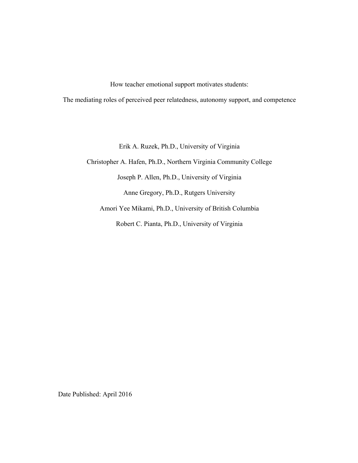How teacher emotional support motivates students:

The mediating roles of perceived peer relatedness, autonomy support, and competence

Erik A. Ruzek, Ph.D., University of Virginia

Christopher A. Hafen, Ph.D., Northern Virginia Community College Joseph P. Allen, Ph.D., University of Virginia Anne Gregory, Ph.D., Rutgers University Amori Yee Mikami, Ph.D., University of British Columbia Robert C. Pianta, Ph.D., University of Virginia

Date Published: April 2016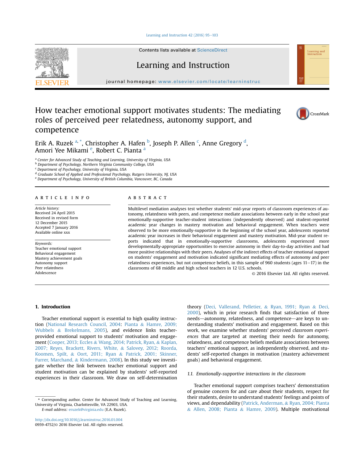Learning and Instruction  $42$  (2016) 95-103



Contents lists available at ScienceDirect

# Learning and Instruction

journal homepage: www.elsevier.com/locate/learninstruc

# How teacher emotional support motivates students: The mediating roles of perceived peer relatedness, autonomy support, and competence



earning and<br>nstruction

Erik A. Ruzek <sup>a, \*</sup>, Christopher A. Hafen <sup>b</sup>, Joseph P. Allen <sup>c</sup>, Anne Gregory <sup>d</sup>, Amori Yee Mikami <sup>e</sup>, Robert C. Pianta <sup>a</sup>

a Center for Advanced Study of Teaching and Learning, University of Virginia, USA

<sup>b</sup> Department of Psychology, Northern Virginia Community College, USA

<sup>c</sup> Department of Psychology, University of Virginia, USA

<sup>d</sup> Graduate School of Applied and Professional Psychology, Rutgers University, NJ, USA

<sup>e</sup> Department of Psychology, University of British Columbia, Vancouver, BC, Canada

## article info

Article history: Received 24 April 2015 Received in revised form 12 December 2015 Accepted 7 January 2016 Available online xxx

#### Keywords:

Teacher emotional support Behavioral engagement Mastery achievement goals Autonomy support Peer relatedness Adolescence

## **ABSTRACT**

Multilevel mediation analyses test whether students' mid-year reports of classroom experiences of autonomy, relatedness with peers, and competence mediate associations between early in the school year emotionally-supportive teacher-student interactions (independently observed) and student-reported academic year changes in mastery motivation and behavioral engagement. When teachers were observed to be more emotionally-supportive in the beginning of the school year, adolescents reported academic year increases in their behavioral engagement and mastery motivation. Mid-year student reports indicated that in emotionally-supportive classrooms, adolescents experienced more developmentally-appropriate opportunities to exercise autonomy in their day-to-day activities and had more positive relationships with their peers. Analyses of the indirect effects of teacher emotional support on students' engagement and motivation indicated significant mediating effects of autonomy and peer relatedness experiences, but not competence beliefs, in this sample of 960 students (ages  $11-17$ ) in the classrooms of 68 middle and high school teachers in 12 U.S. schools.

© 2016 Elsevier Ltd. All rights reserved.

## 1. Introduction

Teacher emotional support is essential to high quality instruction (National Research Council, 2004: Pianta & Hamre, 2009; Wubbels & Brekelmans, 2005), and evidence links teacherprovided emotional support to students' motivation and engagement (Cooper, 2013; Eccles & Wang, 2014; Patrick, Ryan, & Kaplan, 2007; Reyes, Brackett, Rivers, White, & Salovey, 2012; Roorda, Koomen, Spilt, & Oort, 2011; Ryan & Patrick, 2001; Skinner, Furrer, Marchand, & Kindermann, 2008). In this study we investigate whether the link between teacher emotional support and student motivation can be explained by students' self-reported experiences in their classroom. We draw on self-determination

\* Corresponding author. Center for Advanced Study of Teaching and Learning, University of Virginia, Charlottesville, VA 22903, USA.

E-mail address: eruzek@virginia.edu (E.A. Ruzek).

http://dx.doi.org/10.1016/j.learninstruc.2016.01.004 0959-4752/© 2016 Elsevier Ltd. All rights reserved.

theory (Deci, Vallerand, Pelletier, & Ryan, 1991; Ryan & Deci, 2000), which in prior research finds that satisfaction of three needs—autonomy, relatedness, and competence—are keys to understanding students' motivation and engagement. Based on this work, we examine whether students' perceived classroom experiences that are targeted at meeting their needs for autonomy, relatedness, and competence beliefs mediate associations between teachers' emotional support, as independently observed, and students' self-reported changes in motivation (mastery achievement goals) and behavioral engagement.

# 1.1. Emotionally-supportive interactions in the classroom

Teacher emotional support comprises teachers' demonstration of genuine concern for and care about their students, respect for their students, desire to understand students' feelings and points of views, and dependability (Patrick, Anderman, & Ryan, 2004; Pianta & Allen, 2008; Pianta & Hamre, 2009). Multiple motivational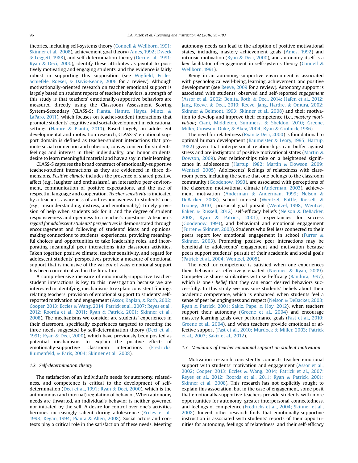theories, including self-systems theory (Connell & Wellborn, 1991; Skinner et al., 2008), achievement goal theory (Ames, 1992; Dweck & Leggett, 1988), and self-determination theory (Deci et al., 1991; Ryan & Deci, 2000), identify these attributes as pivotal to positively motivating and engaging students, and the evidence is fairly robust in supporting this supposition (see Wigfield, Eccles, Schiefele, Roeser, & Davis-Keane, 2006 for a review). Although motivationally-oriented research on teacher emotional support is largely based on student reports of teacher behaviors, a strength of this study is that teachers' emotionally-supportive behaviors are measured directly using the Classroom Assessment Scoring System-Secondary (CLASS-S; Pianta, Hamre, Hayes, Mintz, & LaParo, 2011), which focuses on teacher-student interactions that promote students' cognitive and social development in educational settings (Hamre & Pianta, 2010). Based largely on adolescent developmental and motivation research, CLASS-S' emotional support domain is defined as teacher-student interactions that promote social connection and cohesion, convey concern for students' feelings and interest in their individuality, and honor students' desire to learn meaningful material and have a say in their learning.

CLASS-S captures the broad construct of emotionally-supportive teacher-student interactions as they are evidenced in three dimensions. Positive climate includes the presence of shared positive affect (e.g., laughter and enthusiasm), an interactive peer environment, communication of positive expectations, and the use of respectful language and cooperation. Teacher sensitivity is indicated by a teacher's awareness of and responsiveness to students' cues (e.g., misunderstanding, distress, and emotionality), timely provision of help when students ask for it, and the degree of student responsiveness and openness to a teacher's questions. A teacher's regard for adolescent students' perspectives is demonstrated through encouragement and following of students' ideas and opinions, making connections to students' experiences, providing meaningful choices and opportunities to take leadership roles, and incorporating meaningful peer interactions into classroom activities. Taken together, positive climate, teacher sensitivity, and regard for adolescent students' perspectives provide a measure of emotional support that is inclusive of the variety of ways emotional support has been conceptualized in the literature.

A comprehensive measure of emotionally-supportive teacherstudent interactions is key to this investigation because we are interested in identifying mechanisms to explain consistent findings relating teachers' provision of emotional support to students' selfreported motivation and engagement (Assor, Kaplan, & Roth, 2002; Cooper, 2013; Eccles & Wang, 2014; Patrick et al., 2007; Reyes et al., 2012; Roorda et al., 2011; Ryan & Patrick, 2001; Skinner et al., 2008). The mechanisms we consider are students' experiences in their classroom, specifically experiences targeted to meeting the three needs suggested by self-determination theory (Deci et al., 1991; Ryan & Deci, 2000), which have previously been posited as potential mechanisms to explain the positive effects of emotionally-supportive classroom interactions (Fredricks, Blumenfeld, & Paris, 2004; Skinner et al., 2008).

## 1.2. Self-determination theory

The satisfaction of an individual's needs for autonomy, relatedness, and competence is critical to the development of selfdetermination (Deci et al., 1991; Ryan & Deci, 2000), which is the autonomous (and internal) regulation of behavior. When autonomy needs are thwarted, an individual's behavior is neither governed nor initiated by the self. A desire for control over one's activities becomes increasingly salient during adolescence (Eccles et al., 1993; Kegan, 1994; Pianta & Allen, 2008). Social actors and contexts play a critical role in the satisfaction of these needs. Meeting autonomy needs can lead to the adoption of positive motivational states, including mastery achievement goals (Ames, 1992) and intrinsic motivation (Ryan & Deci, 2000), and autonomy itself is a key facilitator of engagement in self-systems theory (Connell  $\&$ Wellborn, 1991).

Being in an autonomy-supportive environment is associated with psychological well-being, learning, achievement, and positive development (see Reeve, 2009 for a review). Autonomy support is associated with students' observed and self-reported engagement (Assor et al., 2002; Benita, Roth, & Deci, 2014; Hafen et al., 2012; Jang, Reeve, & Deci, 2010; Reeve, Jang, Hardre, & Omura, 2002; Skinner & Belmont, 1993; Skinner et al., 2008) and their motivation to develop and improve their competence (i.e., mastery motivation; Ciani, Middleton, Summers, & Sheldon, 2010; Greene, Miller, Crowson, Duke, & Akey, 2004; Ryan & Grolnick, 1986).

The need for relatedness (Ryan & Deci, 2000) is foundational to optimal human development (Baumeister & Leary, 1995; Hartup, 1982) given that interpersonal relationships can buffer against stress and are instigators of positive motivational states (Martin & Dowson, 2009). Peer relationships take on a heightened significance in adolescence (Hartup, 1982; Martin & Dowson, 2009; Wentzel, 2005). Adolescents' feelings of relatedness with classroom peers, including the sense that one belongs to the classroom community (Goodenow, 1993), are associated with perceptions of the classroom motivational climate (Anderman, 2003), achievement motivation (Anderman & Anderman, 1999; Nelson & DeBacker, 2008), school interest (Wentzel, Battle, Russell, & Looney, 2010), prosocial goal pursuit (Wentzel, 1998; Wentzel, Baker, & Russell, 2012), self-efficacy beliefs (Nelson & DeBacker, 2008; Ryan & Patrick, 2001), expectancies for success (Goodenow, 1993), and behavioral and emotional engagement (Furrer & Skinner, 2003). Students who feel less connected to their peers report low emotional engagement in school (Furrer & Skinner, 2003). Promoting positive peer interactions may be beneficial to adolescents' engagement and motivation because peers support students' pursuit of their academic and social goals (Patrick et al., 2004; Wentzel, 2005).

The need for competence is satisfied when one experiences their behavior as effectively enacted (Niemiec & Ryan, 2009). Competence shares similarities with self-efficacy (Bandura, 1997), which is one's belief that they can enact desired behaviors successfully. In this study we measure students' beliefs about their academic competence, which is enhanced when students feel a sense of peer belongingness and respect (Nelson & DeBacker, 2008; Ryan & Patrick, 2001; Sakiz, Pape, & Hoy, 2012), when teachers support their autonomy (Greene et al., 2004) and encourage mastery learning goals over performance goals (Fast et al., 2010; Greene et al., 2004), and when teachers provide emotional or affective support (Fast et al., 2010; Murdock & Miller, 2003; Patrick et al., 2007; Sakiz et al., 2012).

## 1.3. Mediators of teacher emotional support on student motivation

Motivation research consistently connects teacher emotional support with students' motivation and engagement (Assor et al., 2002; Cooper, 2013; Eccles & Wang, 2014; Patrick et al., 2007; Reyes et al., 2012; Roorda et al., 2011; Ryan & Patrick, 2001; Skinner et al., 2008). This research has not explicitly sought to explain this association, but in the case of engagement, some posit that emotionally-supportive teachers provide students with more opportunities for autonomy, greater interpersonal connectedness, and feelings of competence (Fredricks et al., 2004; Skinner et al., 2008). Indeed, other research finds that emotionally-supportive instruction is associated with students' reports of their opportunities for autonomy, feelings of relatedness, and their self-efficacy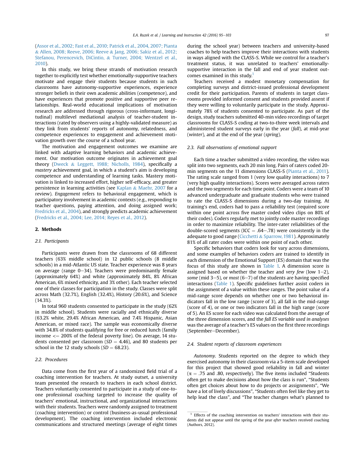(Assor et al., 2002; Fast et al., 2010; Patrick et al., 2004, 2007; Pianta & Allen, 2008; Reeve, 2006; Reeve & Jang, 2006; Sakiz et al., 2012; Stefanou, Perencevich, DiCintio, & Turner, 2004; Wentzel et al., 2010).

In this study, we bring these strands of motivation research together to explicitly test whether emotionally-supportive teachers motivate and engage their students because students in such classrooms have autonomy-supportive experiences, experience stronger beliefs in their own academic abilities (competence), and have experiences that promote positive and supportive peer relationships. Real-world educational implications of motivation research are addressed through rigorous (cross-informant, longitudinal) multilevel mediational analysis of teacher-student interactions (rated by observers using a highly-validated measure) as they link from students' reports of autonomy, relatedness, and competence experiences to engagement and achievement motivation growth over the course of a school year.

The motivation and engagement outcomes we examine are linked with adaptive learning behaviors and academic achievement. Our motivation outcome originates in achievement goal theory (Dweck & Leggett, 1988; Nicholls, 1984), specifically a mastery achievement goal, in which a student's aim is developing competence and understanding of learning tasks. Mastery motivation is linked to increased effort, higher self-efficacy, and greater persistence in learning activities (see Kaplan & Maehr, 2007 for a review). Engagement refers to behavioral engagement, which is participatory involvement in academic contexts (e.g., responding to teacher questions, paying attention, and doing assigned work; Fredricks et al., 2004), and strongly predicts academic achievement (Fredricks et al., 2004; Lee, 2014; Reyes et al., 2012).

### 2. Methods

## 2.1. Participants

Participants were drawn from the classrooms of 68 different teachers (63% middle school) in 12 public schools (8 middle schools) in a mid-Atlantic US state. Teacher experience was 8 years on average (range  $0-34$ ). Teachers were predominantly female (approximately 64%) and white (approximately 84%, 8% African American, 6% mixed ethnicity, and 3% other). Each teacher selected one of their classes for participation in the study. Classes were split across Math (32.7%), English (32.4%), History (20.6%), and Science (14.3%).

In total 960 students consented to participate in the study (62% in middle school). Students were racially and ethnically diverse (63.2% white, 29.4% African American, and 7.4% Hispanic, Asian American, or mixed race). The sample was economically diverse with 34.8% of students qualifying for free or reduced lunch (family income  $\epsilon$  200% of the federal poverty line). On average, 14 students consented per classroom ( $SD = 4.46$ ), and 80 students per school in the 12 study schools  $SD = 68.23$ ).

## 2.2. Procedures

Data come from the first year of a randomized field trial of a coaching intervention for teachers. At study outset, a university team presented the research to teachers in each school district. Teachers voluntarily consented to participate in a study of one-toone professional coaching targeted to increase the quality of teachers' emotional, instructional, and organizational interactions with their students. Teachers were randomly assigned to treatment (coaching intervention) or control (business-as-usual professional development). The coaching intervention included electronic communications and structured meetings (average of eight times

during the school year) between teachers and university-based coaches to help teachers improve their interactions with students in ways aligned with the CLASS-S. While we control for a teacher's treatment status, it was unrelated to teachers' emotionallysupportive interaction in the fall and end of year student outcomes examined in this study.<sup>1</sup>

Teachers received a modest monetary compensation for completing surveys and district-issued professional development credit for their participation. Parents of students in target classrooms provided informed consent and students provided assent if they were willing to voluntarily participate in the study. Approximately 78% of students consented to participate. As part of the design, study teachers submitted 40-min video recordings of target classrooms for CLASS-S coding at two-to-three week intervals and administered student surveys early in the year (fall), at mid-year (winter), and at the end of the year (spring).

## 2.3. Fall observations of emotional support

Each time a teacher submitted a video recording, the video was split into two segments, each 20 min long. Pairs of raters coded 20 min segments on the 11 dimensions CLASS-S (Pianta et al., 2011). The rating scale ranged from 1 (very low quality interactions) to 7 (very high quality interactions). Scores were averaged across raters and the two segments for each time point. Coders were a team of 10 advanced undergraduate and graduate students who were trained to rate the CLASS-S dimensions during a two-day training. At training's end, coders had to pass a reliability test (required score within one point across five master coded video clips on 80% of their codes). Coders regularly met to jointly code master recordings in order to maximize reliability. The inter-rater reliabilities of the double-scored segments (ICC = .64–.78) were consistently in the adequate to good range (Cicchetti & Sparrow, 1981). Approximately 81% of all rater codes were within one point of each other.

Specific behaviors that coders look for vary across dimensions, and some examples of behaviors coders are trained to identify in each dimension of the Emotional Support (ES) domain that was the focus of this study are shown in Table 1. A dimension score is assigned based on whether the teacher and very few (low  $1-2$ ), some (mid  $3-5$ ), or most (6-7) of the students are having specified interactions (Table 1). Specific guidelines further assist coders in the assignment of a value within these ranges. The point value of a mid-range score depends on whether one or two behavioral indicators fall in the low range (score of 3), all fall in the mid-range (score of 4), or one or two indicators fall in the high range (score of 5). An ES score for each video was calculated from the average of the three dimension scores, and the fall ES variable used in analyses was the average of a teacher's ES values on the first three recordings (September-December).

## 2.4. Student reports of classroom experiences

Autonomy. Students reported on the degree to which they exercised autonomy in their classroom via a 5-item scale developed for this project that showed good reliability in fall and winter  $(\alpha = .75$  and .80, respectively). The five items included "Students often get to make decisions about how the class is run", "Students often get choices about how to do projects or assignments", "We have a lot of lively discussions", "Students often feel like they get to help lead the class", and "The teacher changes what's planned to

<sup>&</sup>lt;sup>1</sup> Effects of the coaching intervention on teachers' interactions with their students did not appear until the spring of the year after teachers received coaching (Authors, 2012).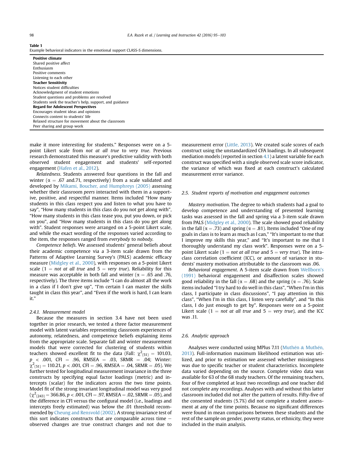| Table 1                                                                    |
|----------------------------------------------------------------------------|
| Example behavioral indicators in the emotional support CLASS-S dimensions. |

Positive climate Shared positive affect Enthusiasm Positive comments Listening to each other Teacher Sensitivity Notices student difficulties Acknowledgment of student emotions Student questions and problems are resolved Students seek the teacher's help, support, and guidance Regard for Adolescent Perspectives Encourages student ideas and opinions Connects content to students' life Relaxed structure for movement about the classroom Peer sharing and group work

make it more interesting for students." Responses were on a 5 point Likert scale from not at all true to very true. Previous research demonstrated this measure's predictive validity with both observed student engagement and students' self-reported engagement (Hafen et al., 2012).

Relatedness. Students answered four questions in the fall and winter ( $\alpha = .67$  and.71, respectively) from a scale validated and developed by Mikami, Boucher, and Humphreys (2005) assessing whether their classroom peers interacted with them in a supportive, positive, and respectful manner. Items included "How many students in this class respect you and listen to what you have to say", "How many students in this class do you not get along with", "How many students in this class tease you, put you down, or pick on you", and "How many students in this class do you get along with". Student responses were arranged on a 5-point Likert scale, and while the exact wording of the responses varied according to the item, the responses ranged from everybody to nobody.

Competence beliefs. We assessed students' general beliefs about their academic competence via a 3-item scale drawn from the Patterns of Adaptive Learning Survey's (PALS) academic efficacy measure (Midgley et al., 2000), with responses on a 5-point Likert scale (1 = not at all true and 5 = very true). Reliability for this measure was acceptable in both fall and winter ( $\alpha = .65$  and .76, respectively). The three items include "I can do almost all the work in a class if I don't give up", "I'm certain I can master the skills taught in class this year", and "Even if the work is hard, I can learn it."

## 2.4.1. Measurement model

Because the measures in section 3.4 have not been used together in prior research, we tested a three factor measurement model with latent variables representing classroom experiences of autonomy, relatedness, and competence beliefs explaining items from the appropriate scale. Separate fall and winter measurement models that were corrected for clustering of students within teachers showed excellent fit to the data (Fall:  $\chi^2_{(51)} = 101.03$ ,  $p$  < .001, CFI = .96, RMSEA = .03, SRMR = .04; Winter:  $\chi^2_{(51)} = 110.21, p < .001, CFI = .96, RMSEA = .04, SRMR = .05)$ . We further tested for longitudinal measurement invariance in the three constructs by specifying equal factor loadings (metric) and intercepts (scalar) for the indicators across the two time points. Model fit of the strong invariant longitudinal model was very good  $(\chi^2_{(243)} = 366.86, p < .001, CFI = .97, RMSEA = .02, SRMR = .05), and$ the difference in CFI versus the configural model (i.e., loadings and intercepts freely estimated) was below the .01 threshold recommended by Cheung and Rensvold (2002). A strong invariance test of this sort indicates constructs that are comparable across time  $$ observed changes are true construct changes and not due to measurement error (Little, 2013). We created scale scores of each construct using the unstandardized CFA loadings. In all subsequent mediation models (reported in section 4.1) a latent variable for each construct was specified with a single observed scale score indicator, the variance of which was fixed at each construct's calculated measurement error variance.

## 2.5. Student reports of motivation and engagement outcomes

Mastery motivation. The degree to which students had a goal to develop competence and understanding of presented learning tasks was assessed in the fall and spring via a 3-item scale drawn from PALS (Midgley et al., 2000). The scale showed good reliability in the fall ( $\alpha = .73$ ) and spring ( $\alpha = .81$ ). Items included "One of my goals in class is to learn as much as I can," "It's important to me that I improve my skills this year," and "It's important to me that I thoroughly understand my class work". Responses were on a 5 point Likert scale (1 = not at all true and  $5 = \text{very true}$ ). The intraclass correlation coefficient (ICC), or amount of variance in students' mastery motivation attributable to the classroom was .06.

Behavioral engagement. A 5-item scale drawn from Wellborn's (1991) behavioral engagement and disaffection scales showed good reliability in the fall ( $\alpha = .68$ ) and the spring ( $\alpha = .76$ ). Scale items included "I try hard to do well in this class", "When I'm in this class, I participate in class discussions", "I pay attention in this class", "When I'm in this class, I listen very carefully", and "In this class, I do just enough to get by". Responses were on a 5-point Likert scale (1 = not at all true and  $5$  = very true), and the ICC was .11.

#### 2.6. Analytic approach

Analyses were conducted using MPlus 7.11 (Muthén & Muthén, 2013). Full-information maximum likelihood estimation was utilized, and prior to estimation we assessed whether missingness was due to specific teacher or student characteristics. Incomplete data varied depending on the source. Complete video data was available for 63 of the 68 study teachers. Of the remaining teachers, four of five completed at least two recordings and one teacher did not complete any recordings. Analyses with and without this latter classroom included did not alter the pattern of results. Fifty-five of the consented students (5.7%) did not complete a student assessment at any of the time points. Because no significant differences were found in mean comparisons between these students and the rest of the sample on gender, poverty status, or ethnicity, they were included in the main analysis.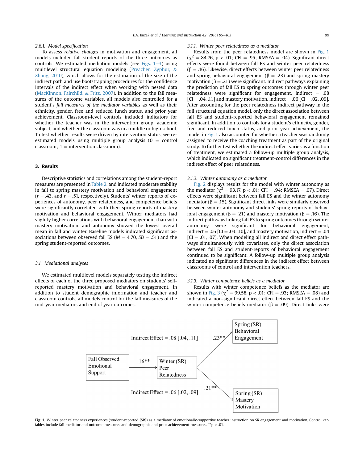## 2.6.1. Model specification

To assess relative changes in motivation and engagement, all models included fall student reports of the three outcomes as controls. We estimated mediation models (see Figs.  $1-3$ ) using multilevel structural equation modeling (Preacher, Zyphur, & Zhang, 2010), which allows for the estimation of the size of the indirect path and use bootstrapping procedures for the confidence intervals of the indirect effect when working with nested data (MacKinnon, Fairchild, & Fritz, 2007). In addition to the fall measures of the outcome variables, all models also controlled for a student's fall measures of the mediator variables as well as their ethnicity, gender, free and reduced lunch status, and prior year achievement. Classroom-level controls included indicators for whether the teacher was in the intervention group, academic subject, and whether the classroom was in a middle or high school. To test whether results were driven by intervention status, we reestimated models using multiple group analysis ( $0 =$  control classroom;  $1 =$  intervention classroom).

# 3. Results

Descriptive statistics and correlations among the student-report measures are presented in Table 2, and indicated moderate stability in fall to spring mastery motivation and behavioral engagement  $(r = .43,$  and  $r = .51$ , respectively). Students' winter reports of experiences of autonomy, peer relatedness, and competence beliefs were significantly correlated with their spring reports of mastery motivation and behavioral engagement. Winter mediators had slightly higher correlations with behavioral engagement than with mastery motivation, and autonomy showed the lowest overall mean in fall and winter. Baseline models indicated significant associations between observed fall ES ( $M = 4.70$ ,  $SD = .51$ ) and the spring student-reported outcomes.

## 3.1. Mediational analyses

We estimated multilevel models separately testing the indirect effects of each of the three proposed mediators on students' selfreported mastery motivation and behavioral engagement. In addition to student demographic information and teacher and classroom controls, all models control for the fall measures of the mid-year mediators and end of year outcomes.

## 3.1.1. Winter peer relatedness as a mediator

Results from the peer relatedness model are shown in Fig. 1  $(\chi^2 = 84.76, p < .01; CFI = .95; RMSEA = .04)$ . Significant direct effects were found between fall ES and winter peer relatedness ( $\beta$  = .16). Likewise, direct effects between winter peer relatedness and spring behavioral engagement ( $\beta$  = .23) and spring mastery motivation ( $\beta = .21$ ) were significant. Indirect pathways explaining the prediction of fall ES to spring outcomes through winter peer relatedness were significant for engagement, indirect  $= .08$  $[CI = .04, .11]$  and mastery motivation, indirect =  $.06$   $[CI = .02, .09]$ . After accounting for the peer relatedness indirect pathway in the full structural equation model, only the direct association between fall ES and student-reported behavioral engagement remained significant. In addition to controls for a student's ethnicity, gender, free and reduced lunch status, and prior year achievement, the model in Fig. 1 also accounted for whether a teacher was randomly assigned to receive the coaching treatment as part of the original study. To further test whether the indirect effect varies as a function of treatment, we estimated a follow-up multiple group analysis, which indicated no significant treatment-control differences in the indirect effect of peer relatedness.

#### 3.1.2. Winter autonomy as a mediator

Fig. 2 displays results for the model with winter autonomy as the mediator ( $\chi^2$  = 93.17, p < .01; CFI = .94; RMSEA = .07). Direct effects were significant between fall ES and the winter autonomy mediator ( $\beta = .15$ ). Significant direct links were similarly observed between winter autonomy and students' spring reports of behavioral engagement ( $\beta = .21$ ) and mastery motivation ( $\beta = .16$ ). The indirect pathways linking fall ES to spring outcomes through winter autonomy were significant for behavioral engagement, indirect  $= .06$  [CI  $= .03, .10$ ], and mastery motivation, indirect  $= .04$  $[CI = .01, .07]$ . When modeling all indirect and direct effect pathways simultaneously with covariates, only the direct association between fall ES and student-reports of behavioral engagement continued to be significant. A follow-up multiple group analysis indicated no significant differences in the indirect effect between classrooms of control and intervention teachers.

## 3.1.3. Winter competence beliefs as a mediator

Results with winter competence beliefs as the mediator are shown in Fig. 3 ( $\chi^2$  = 99.58, p < .01; CFI = .93; RMSEA = .08) and indicated a non-significant direct effect between fall ES and the winter competence beliefs mediator ( $\beta = .09$ ). Direct links were



Fig. 1. Winter peer relatedness experiences (student-reported [SR]) as a mediator of emotionally-supportive teacher instruction on SR engagement and motivation. Control variables include fall mediator and outcome measures and demographic and prior achievement measures.  $*$ p < .01.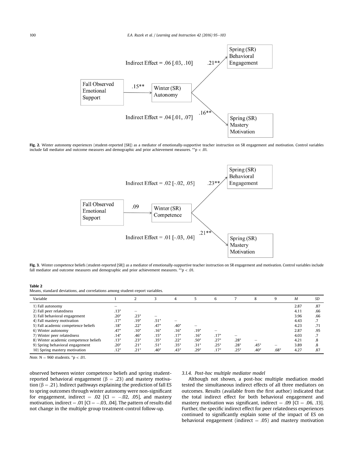

Fig. 2. Winter autonomy experiences (student-reported [SR]) as a mediator of emotionally-supportive teacher instruction on SR engagement and motivation. Control variables include fall mediator and outcome measures and demographic and prior achievement measures.  $*$ p < .01.



Fig. 3. Winter competence beliefs (student-reported [SR]) as a mediator of emotionally-supportive teacher instruction on SR engagement and motivation. Control variables include fall mediator and outcome measures and demographic and prior achievement measures.  $**p < .01$ .

Table 2 Means, standard deviations, and correlations among student-report variables.

| Variable                              |        |                          |        | 4      |        | 6                        |                          | 8      | 9                        | M    | SD  |
|---------------------------------------|--------|--------------------------|--------|--------|--------|--------------------------|--------------------------|--------|--------------------------|------|-----|
| 1) Fall autonomy                      |        |                          |        |        |        |                          |                          |        |                          | 2.87 | .87 |
| 2) Fall peer relatedness              | $.13*$ | $\overline{\phantom{a}}$ |        |        |        |                          |                          |        |                          | 4.11 | .66 |
| 3) Fall behavioral engagement         | $.20*$ | $.23*$                   |        |        |        |                          |                          |        |                          | 3.96 | .66 |
| 4) Fall mastery motivation            | $.17*$ | $.19*$                   | $.51*$ |        |        |                          |                          |        |                          | 4.43 |     |
| 5) Fall academic competence beliefs   | $.18*$ | $.22*$                   | $.47*$ | $.40*$ | -      |                          |                          |        |                          | 4.23 | .71 |
| 6) Winter autonomy                    | $.47*$ | $.10*$                   | $.16*$ | $.16*$ | $.19*$ | $\overline{\phantom{a}}$ |                          |        |                          | 2.87 | .95 |
| 7) Winter peer relatedness            | $.14*$ | $.46*$                   | $.15*$ | $.17*$ | $.16*$ | $.17*$                   | $\overline{\phantom{a}}$ |        |                          | 4.03 |     |
| 8) Winter academic competence beliefs | $.13*$ | $.23*$                   | $.35*$ | $.22*$ | $.50*$ | $.27*$                   | $.28*$                   |        |                          | 4.21 |     |
| 9) Spring behavioral engagement       | $.20*$ | $.21*$                   | $.51*$ | $.35*$ | $.31*$ | $.25*$                   | $.28*$                   | $.45*$ | $\overline{\phantom{a}}$ | 3.89 |     |
| 10) Spring mastery motivation         | $.12*$ | $.21*$                   | $.40*$ | $.43*$ | $.29*$ | $.17*$                   | $.25*$                   | $.40*$ | $.68*$                   | 4.27 | .87 |

Note.  $N = 960$  students.  ${}^*p < .01$ .

observed between winter competence beliefs and spring studentreported behavioral engagement ( $\beta$  = .23) and mastery motivation ( $\beta = .21$ ). Indirect pathways explaining the prediction of fall ES to spring outcomes through winter autonomy were non-significant for engagement, indirect  $= .02$  [CI  $= -.02, .05$ ], and mastery motivation, indirect = .01  $|CI = -.03, .04|$ . The pattern of results did not change in the multiple group treatment-control follow-up.

## 3.1.4. Post-hoc multiple mediator model

Although not shown, a post-hoc multiple mediation model tested the simultaneous indirect effects of all three mediators on outcomes. Results (available from the first author) indicated that the total indirect effect for both behavioral engagement and mastery motivation was significant, indirect = .09 [CI = .06, .13]. Further, the specific indirect effect for peer relatedness experiences continued to significantly explain some of the impact of ES on behavioral engagement (indirect  $= .05$ ) and mastery motivation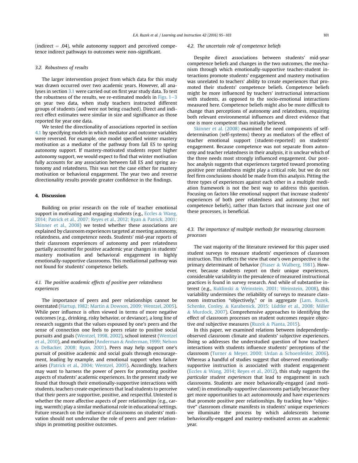(indirect  $= .04$ ), while autonomy support and perceived competence indirect pathways to outcomes were non-significant.

## 3.2. Robustness of results

The larger intervention project from which data for this study was drawn occurred over two academic years. However, all analyses in section 3.1 were carried out on first year study data. To test the robustness of the results, we re-estimated models in Figs.  $1-3$ on year two data, when study teachers instructed different groups of students (and were not being coached). Direct and indirect effect estimates were similar in size and significance as those reported for year one data.

We tested the directionality of associations reported in section 4.1 by specifying models in which mediator and outcome variables were reversed. For example, one model specified winter mastery motivation as a mediator of the pathway from fall ES to spring autonomy support. If mastery-motivated students report higher autonomy support, we would expect to find that winter motivation fully accounts for any association between fall ES and spring autonomy and relatedness. This was not the case either for mastery motivation or behavioral engagement. The year two and reverse directionality results provide greater confidence in the findings.

## 4. Discussion

Building on prior research on the role of teacher emotional support in motivating and engaging students (e.g., Eccles & Wang, 2014; Patrick et al., 2007; Reyes et al., 2012; Ryan & Patrick, 2001; Skinner et al., 2008) we tested whether these associations are explained by classroom experiences targeted at meeting autonomy, relatedness, and competence needs. Students' mid-year reports of their classroom experiences of autonomy and peer relatedness partially accounted for positive academic year changes in students' mastery motivation and behavioral engagement in highly emotionally-supportive classrooms. This mediational pathway was not found for students' competence beliefs.

# 4.1. The positive academic effects of positive peer relatedness experiences

The importance of peers and peer relationships cannot be overstated (Hartup, 1982; Martin & Dowson, 2009; Wentzel, 2005). While peer influence is often viewed in terms of more negative outcomes (e.g., drinking, risky behavior, or deviance), a long line of research suggests that the values espoused by one's peers and the sense of connection one feels to peers relate to positive social pursuits and goals (Wentzel, 1998, 2002), school interest (Wentzel et al., 2010), and motivation (Anderman & Anderman, 1999; Nelson & DeBacker, 2008; Ryan, 2001). Peers may help support one's pursuit of positive academic and social goals through encouragement, leading by example, and emotional support when failure arises (Patrick et al., 2004; Wentzel, 2005). Accordingly, teachers may want to harness the power of peers for promoting positive aspects of students' academic experiences. In the present study we found that through their emotionally-supportive interactions with students, teachers create experiences that lead students to perceive that their peers are supportive, positive, and respectful. Untested is whether the more affective aspects of peer relationships (e.g., caring, warmth) play a similar mediational role in educational settings. Future research on the influence of classrooms on students' motivation should not undervalue the role of peers and peer relationships in promoting positive outcomes.

## 4.2. The uncertain role of competence beliefs

Despite direct associations between students' mid-year competence beliefs and changes in the two outcomes, the mechanism through which emotionally-supportive teacher-student interactions promote students' engagement and mastery motivation was unrelated to teachers' ability to create experiences that promoted their students' competence beliefs. Competence beliefs might be more influenced by teachers' instructional interactions with students, as opposed to the socio-emotional interactions measured here. Competence beliefs might also be more difficult to change than perceptions of autonomy and relatedness, requiring both relevant environmental influences and direct evidence that one is more competent than initially believed.

Skinner et al. (2008) examined the need components of selfdetermination (self-systems) theory as mediators of the effect of teacher emotional support (student-reported) on students' engagement. Because competence was not separate from autonomy and teacher relatedness in their analysis, it is unclear which of the three needs most strongly influenced engagement. Our posthoc analysis suggests that experiences targeted toward promoting positive peer relatedness might play a critical role, but we do not feel firm conclusions should be made from this analysis. Pitting the three types of experiences against each other in a multiple mediation framework is not the best way to address this question. Focusing on factors like emotional support that increase students' experiences of both peer relatedness and autonomy (but not competence beliefs), rather than factors that increase just one of these processes, is beneficial.

## 4.3. The importance of multiple methods for measuring classroom processes

The vast majority of the literature reviewed for this paper used student surveys to measure students' experiences of classroom instruction. This reflects the view that one's own perspective is the primary determinant of behavior (Fraser & Walberg, 1981). However, because students report on their unique experiences, considerable variability in the prevalence of measured instructional practices is found in survey research. And while of substantive interest (e.g., Kuklinski & Weinstein, 2001; Weinstein, 2008), this variability undermines the reliability of surveys to measure classroom instruction "objectively," or in aggregate (Lam, Ruzek, Schenke, Conley, & Karabenick, 2015; Lüdtke et al., 2008; Miller & Murdock, 2007). Comprehensive approaches to identifying the effect of classroom processes on student outcomes require objective and subjective measures (Ruzek & Pianta, 2015).

In this paper, we examined relations between independentlyobserved classroom climate and students' subjective experiences. Doing so addresses the understudied question of how teachers' interactions with students influence students' perceptions of the classroom (Turner & Meyer, 2000; Urdan & Schoenfelder, 2006). Whereas a handful of studies suggest that observed emotionallysupportive instruction is associated with student engagement (Eccles & Wang, 2014; Reyes et al., 2012), this study suggests the particular student experiences that lead to engagement in such classrooms. Students are more behaviorally-engaged (and motivated) in emotionally-supportive classrooms partially because they get more opportunities to act autonomously and have experiences that promote positive peer relationships. By tracking how "objective" classroom climate manifests in students' unique experiences we illuminate the process by which adolescents become behaviorally-engaged and mastery-motivated across an academic year.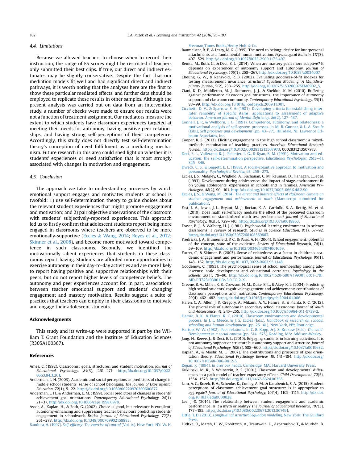## 4.4. Limitations

Because we allowed teachers to choose when to record their instruction, the range of ES scores might be restricted if teachers only submitted their best clips. If true, our direct and indirect estimates may be slightly conservative. Despite the fact that our mediation models fit well and had significant direct and indirect pathways, it is worth noting that the analyses here are the first to show these particular mediated effects, and further data should be employed to replicate these results in other samples. Although the present analysis was carried out on data from an intervention study, a number of checks were made to ensure our results were not a function of treatment assignment. Our mediators measure the extent to which students have classroom experiences targeted at meeting their needs for autonomy, having positive peer relationships, and having strong self-perceptions of their competence. Accordingly, this study does not directly test self-determination theory's conception of need fulfillment as a mediating mechanism. Future research in this area could shed light on whether it is students' experiences or need satisfaction that is most strongly associated with changes in motivation and engagement.

## 4.5. Conclusion

The approach we take to understanding processes by which emotional support engages and motivates students at school is twofold: 1) use self-determination theory to guide choices about the relevant student experiences that might promote engagement and motivation; and 2) pair objective observations of the classroom with students' subjectively-reported experiences. This approach led us to firstly confirm that adolescent students report being more engaged in classrooms where teachers are observed to be more emotionally-supportive (Eccles & Wang, 2014; Reyes et al., 2012; Skinner et al., 2008), and become more motivated toward competence in such classrooms. Secondly, we identified the motivationally-salient experiences that students in these classrooms report having. Students are afforded more opportunities to exercise autonomy in their day-to-day activities and are more likely to report having positive and supportive relationships with their peers, but do not report higher levels of competence beliefs. The autonomy and peer experiences account for, in part, associations between teacher emotional support and students' changing engagement and mastery motivation. Results suggest a suite of practices that teachers can employ in their classrooms to motivate and engage their adolescent students.

## Acknowledgments

This study and its write-up were supported in part by the William T. Grant Foundation and the Institute of Education Sciences (R305A100367).

## References

- Ames, C. (1992). Classrooms: goals, structures, and student motivation. Journal of Educational Psychology, 84(3), 261-271. http://dx.doi.org/10.1037/0022-0663.84.3.261.
- Anderman, L. H. (2003). Academic and social perceptions as predictors of change in middle school students' sense of school belonging. The Journal of Experimental Education, 72(1), 5-22. http://dx.doi.org/10.1080/0022097030960087
- Anderman, L. H., & Anderman, E. M. (1999). Social predictors of changes in students' achievement goal orientations. Contemporary Educational Psychology, 24(1), 21e37. http://dx.doi.org/10.1006/ceps.1998.0978.
- Assor, A., Kaplan, H., & Roth, G. (2002). Choice is good, but relevance is excellent: autonomy-enhancing and suppressing teacher behaviours predicting students' engagement in schoolwork. British Journal of Educational Psychology, 72(2), 261-278. http://dx.doi.org/10.1348/000709902158883.
- Bandura, A. (1997). Self-efficacy: The exercise of control (Vol. ix). New York, NY: W. H.

Freeman/Times Books/Henry Holt & Co.

- Baumeister, R. F., & Leary, M. R. (1995). The need to belong: desire for interpersonal attachments as a fundamental human motivation. Psychological Bulletin, 117(3), 497e529. http://dx.doi.org/10.1037/0033-2909.117.3.497.
- Benita, M., Roth, G., & Deci, E. L. (2014). When are mastery goals more adaptive? It depends on experiences of autonomy support and autonomy. Journal of Educational Psychology, 106(1), 258-267. http://dx.doi.org/10.1037/a0034007.
- Cheung, G. W., & Rensvold, R. B. (2002). Evaluating goodness-of-fit indexes for testing measurement invariance. Structural Equation Modeling: A Multidisciplinary Journal, 9(2), 233-255. http://doi.org/10.1207/S15328007SEM0902\_
- Ciani, K. D., Middleton, M. J., Summers, J. J., & Sheldon, K. M. (2010). Buffering against performance classroom goal structures: the importance of autonomy support and classroom community. Contemporary Educational Psychology, 35(1), 88e99. http://dx.doi.org/10.1016/j.cedpsych.2009.11.001.
- Cicchetti, D. V., & Sparrow, S. A. (1981). Developing criteria for establishing inter-rater reliability of specific items: applications to assessment of adaptive behavior. American Journal of Mental Deficiency, 86(2), 127-137.
- Connell, J. P., & Wellborn, J. G. (1991). Competence, autonomy, and relatedness: a motivational analysis of self-system processes. In M. R. Gunnar, & L. A. Sroufe (Eds.), Self processes and development (pp. 43-77). Hillsdale, NJ: Lawrence Erlbaum Associates, Inc.
- Cooper, K. S. (2013). Eliciting engagement in the high school classroom: a mixedmethods examination of teaching practices. American Educational Research Journal. http://dx.doi.org/10.3102/0002831213507973, 0002831213507973.
- Deci, E. L., Vallerand, R. J., Pelletier, L. G., & Ryan, R. M. (1991). Motivation and education: the self-determination perspective. Educational Psychologist, 26(3-4),  $325 - 346$ .
- Dweck, C. S., & Leggett, E. L. (1988). A social-cognitive approach to motivation and<br>personality. Psychological Review, 95, 256–273.
- Eccles, J. S., Midgley, C., Wigfield, A., Buchanan, C. M., Reuman, D., Flanagan, C., et al. (1993). Development during adolescence: the impact of stage-environment fit on young adolescents' experiences in schools and in families. American Psychologist, 48(2), 90-101. http://dx.doi.org/10.1037/0003-066X.48.2.90.
- Eccles, J. S., & Wang, M. (2014). The direct and indirect effects of classroom climate on student engagement and achievement in math (Manuscript submitted for publication).
- Fast, L. A., Lewis, J. L., Bryant, M. J., Bocian, K. A., Cardullo, R. A., Rettig, M., et al. (2010). Does math self-efficacy mediate the effect of the perceived classroom environment on standardized math test performance? Journal of Educational Psychology, 102(3), 729-740. http://dx.doi.org/10.1037/a0018863.
- Fraser, B. J., & Walberg, H. J. (1981). Psychosocial learning environment in science classrooms: a review of research. Studies in Science Education,  $8(1)$ ,  $67-92$ . http://dx.doi.org/10.1080/03057268108559887.
- Fredricks, J. A., Blumenfeld, P. C., & Paris, A. H. (2004). School engagement: potential of the concept, state of the evidence. Review of Educational Research, 74(1), 59-109. http://dx.doi.org/10.3102/00346543074001059.
- Furrer, C., & Skinner, E. (2003). Sense of relatedness as a factor in children's academic engagement and performance. Journal of Educational Psychology, 95(1), 148e162. http://dx.doi.org/10.1037/0022-0663.95.1.148.
- Goodenow, C. (1993). The psychological sense of school membership among adolescents: scale development and educational correlates. Psychology in the Schools, 30(1), 79-90. http://dx.doi.org/10.1002/1520-6807(199301)30:1<79:: AID-PITS2310300113>3.0.CO;2-X.
- Greene, B. A., Miller, R. B., Crowson, H. M., Duke, B. L., & Akey, K. L. (2004). Predicting high school students' cognitive engagement and achievement: contributions of classroom perceptions and motivation. Contemporary Educational Psychology, 29(4), 462-482. http://dx.doi.org/10.1016/j.cedpsych.2004.01.006.
- Hafen, C. A., Allen, J. P., Gregory, A., Mikami, A. Y., Hamre, B., & Pianta, R. C. (2012). The pivotal role of autonomy in secondary school classrooms. Journal of Youth and Adolescence, 41, 245-255. http://dx.doi.org/10.1007/s10964-011-9739-2.
- Hamre, B. K., & Pianta, R. C. (2010). Classroom environments and developmental process. In J. L. Meece, & J. S. Eccles (Eds.), Handbook of research on schools, schooling and human development (pp. 25-41). New York, NY: Routledge.
- Hartup, W. W. (1982). Peer relations. In C. B. Kopp, & J. B. Krakow (Eds.), The child: Development in a social context (pp. 514-575). Reading, MA: Addison-Wesley.
- Jang, H., Reeve, J., & Deci, E. L. (2010). Engaging students in learning activities: It is not autonomy support or structure but autonomy support and structure. Journal<br>of Educational Psychology, 102(3), 588–600. http://dx.doi.org/10.1037/a0019682.
- Kaplan, A., & Maehr, M. L. (2007). The contributions and prospects of goal orientation theory. Educational Psychology Review, 19,  $141-184$ . http://dx.doi.org/ 10.1007/s10648-006-9012-5.
- Kegan, R. (1994). In over our heads. Cambridge, MA: Harvard University Pres
- Kuklinski, M. R., & Weinstein, R. S. (2001). Classroom and developmental differences in a path model of teacher expectancy effects. Child Development, 72(5), 1554-1578. http://dx.doi.org/10.1111/1467-8624.00365
- Lam, A. C., Ruzek, E. A., Schenke, K., Conley, A. M., & Karabenick, S. A. (2015). Student perceptions of classroom achievement goal structure: Is it appropriate to aggregate? Journal of Educational Psychology, 107(4), 1102-1115. http://dx.doi. org/10.1037/edu0000028.
- Lee, J.-S. (2014). The relationship between student engagement and academic performance: Is it a myth or reality? The Journal of Educational Research, 107(3), 177e185. http://dx.doi.org/10.1080/00220671.2013.807491.
- Little, T. D. (2013). Longitudinal structural equation modeling. New York: The Guilford Press.
- Lüdtke, O., Marsh, H. W., Robitzsch, A., Trautwein, U., Asparouhov, T., & Muthén, B.